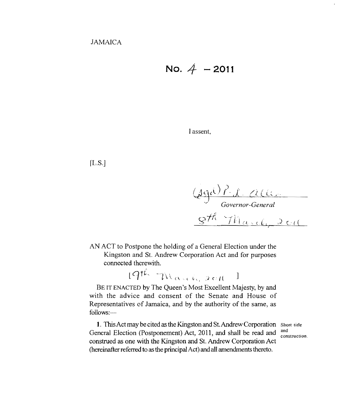No. 
$$
4 - 2011
$$

I assent,

 $[L.S.]$ 

(B'cyl) *p. sf',* (~( (~ .'

<sup>~</sup>*Governor-General* 

AN ACT to Postpone the holding of a General Election under the Kingston and St. Andrew Corporation Act and for purposes connected therewith.

 $19$ th: March, 2011  $^{-1}$ 

BE IT ENACTED by The Queen's Most Excellent Majesty, by and with the advice and consent of the Senate and House of Representatives of Jamaica, and by the authority of the same, as follows:-

1. This Act may be cited as the Kingston and St. Andrew Corporation Short title General Election (Postponement) Act, 2011, and shall be read and  $\frac{and}{construction}$ construed as one with the Kingston and St. Andrew Corporation Act (hereinafter referred to as the principal Act) and all amendments thereto.

 $\ddot{\phantom{0}}$